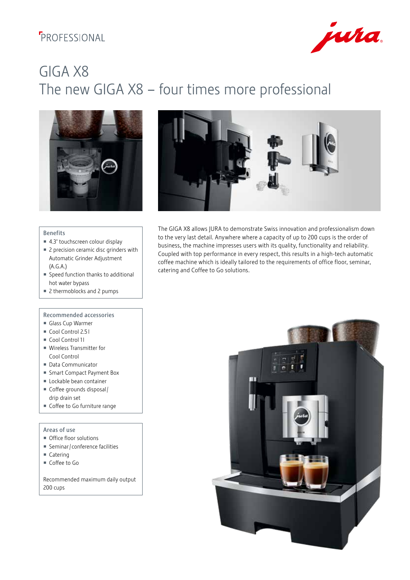## **F**PROFESSIONAL



# GIGA X8 The new GIGA X8 – four times more professional





#### Benefits

- 4.3" touchscreen colour display
- 2 precision ceramic disc grinders with Automatic Grinder Adjustment (A.G.A.)
- Speed function thanks to additional hot water bypass
- 2 thermoblocks and 2 pumps

#### Recommended accessories

- Glass Cup Warmer
- Cool Control 2.51
- Cool Control 11
- Wireless Transmitter for Cool Control
- Data Communicator
- Smart Compact Payment Box
- **Lockable bean container**
- Coffee grounds disposal / drip drain set
- Coffee to Go furniture range

#### Areas of use

- Office floor solutions
- Seminar / conference facilities
- Catering
- Coffee to Go

Recommended maximum daily output 200 cups

The GIGA X8 allows JURA to demonstrate Swiss innovation and professionalism down to the very last detail. Anywhere where a capacity of up to 200 cups is the order of business, the machine impresses users with its quality, functionality and reliability. Coupled with top performance in every respect, this results in a high-tech automatic coffee machine which is ideally tailored to the requirements of office floor, seminar, catering and Coffee to Go solutions.